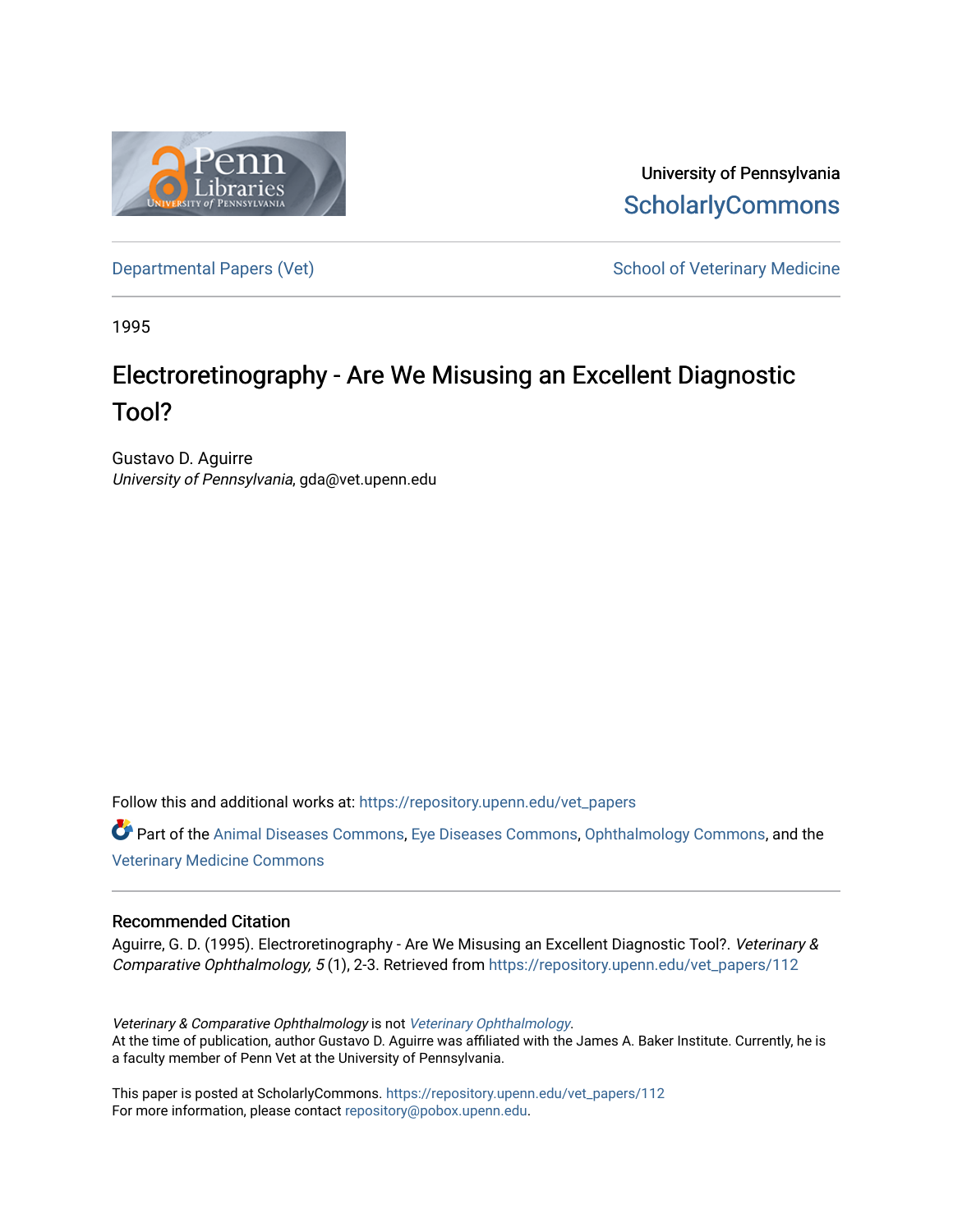

University of Pennsylvania **ScholarlyCommons** 

[Departmental Papers \(Vet\)](https://repository.upenn.edu/vet_papers) and School of Veterinary Medicine

1995

## Electroretinography - Are We Misusing an Excellent Diagnostic Tool?

Gustavo D. Aguirre University of Pennsylvania, gda@vet.upenn.edu

Follow this and additional works at: [https://repository.upenn.edu/vet\\_papers](https://repository.upenn.edu/vet_papers?utm_source=repository.upenn.edu%2Fvet_papers%2F112&utm_medium=PDF&utm_campaign=PDFCoverPages) 

Part of the [Animal Diseases Commons,](http://network.bepress.com/hgg/discipline/918?utm_source=repository.upenn.edu%2Fvet_papers%2F112&utm_medium=PDF&utm_campaign=PDFCoverPages) [Eye Diseases Commons](http://network.bepress.com/hgg/discipline/957?utm_source=repository.upenn.edu%2Fvet_papers%2F112&utm_medium=PDF&utm_campaign=PDFCoverPages), [Ophthalmology Commons](http://network.bepress.com/hgg/discipline/695?utm_source=repository.upenn.edu%2Fvet_papers%2F112&utm_medium=PDF&utm_campaign=PDFCoverPages), and the [Veterinary Medicine Commons](http://network.bepress.com/hgg/discipline/760?utm_source=repository.upenn.edu%2Fvet_papers%2F112&utm_medium=PDF&utm_campaign=PDFCoverPages) 

#### Recommended Citation

Aguirre, G. D. (1995). Electroretinography - Are We Misusing an Excellent Diagnostic Tool?. Veterinary & Comparative Ophthalmology, 5 (1), 2-3. Retrieved from [https://repository.upenn.edu/vet\\_papers/112](https://repository.upenn.edu/vet_papers/112?utm_source=repository.upenn.edu%2Fvet_papers%2F112&utm_medium=PDF&utm_campaign=PDFCoverPages)

Veterinary & Comparative Ophthalmology is not [Veterinary Ophthalmology](http://onlinelibrary.wiley.com/journal/10.1111/%28ISSN%291463-5224). At the time of publication, author Gustavo D. Aguirre was affiliated with the James A. Baker Institute. Currently, he is a faculty member of Penn Vet at the University of Pennsylvania.

This paper is posted at ScholarlyCommons. [https://repository.upenn.edu/vet\\_papers/112](https://repository.upenn.edu/vet_papers/112) For more information, please contact [repository@pobox.upenn.edu.](mailto:repository@pobox.upenn.edu)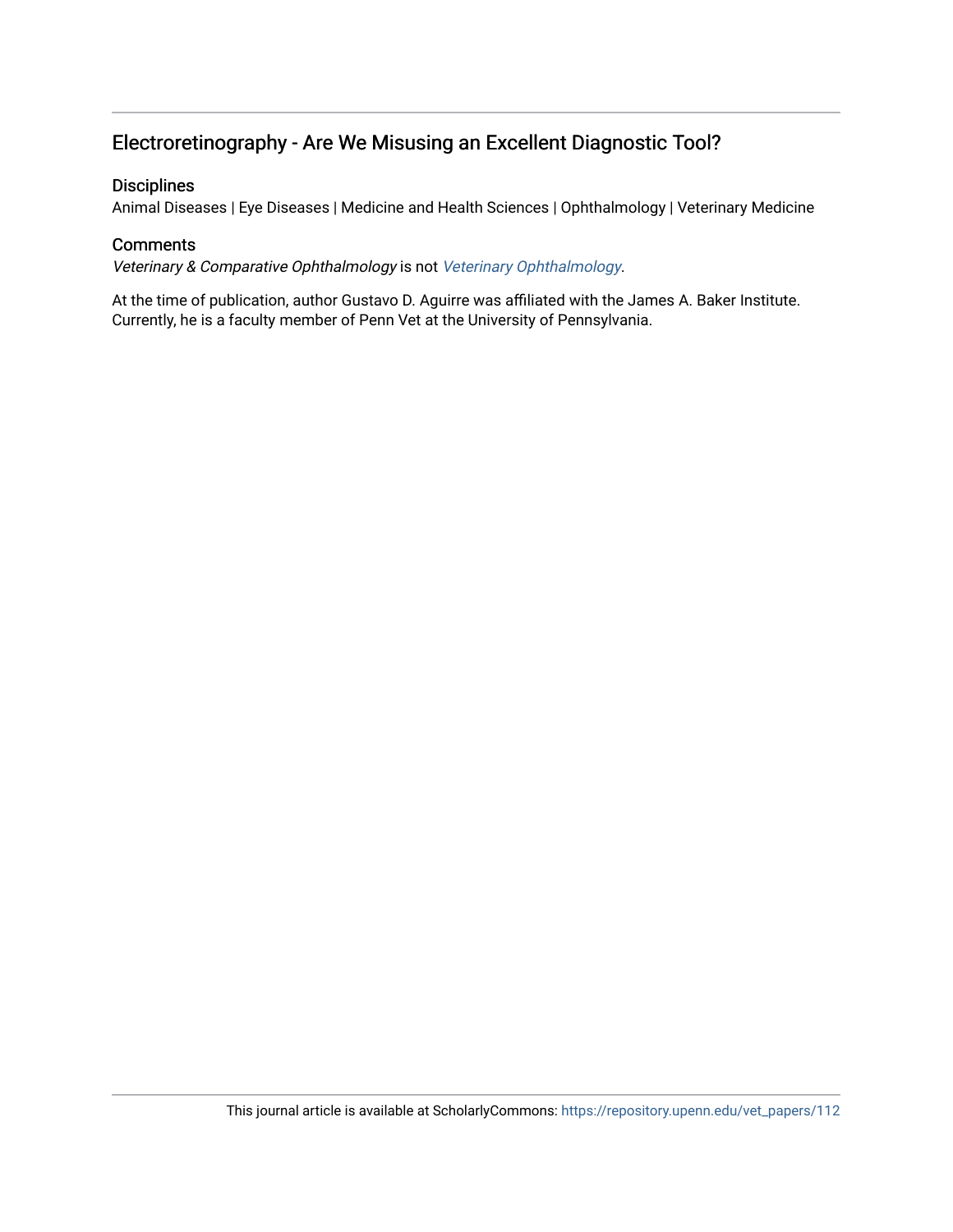### Electroretinography - Are We Misusing an Excellent Diagnostic Tool?

#### **Disciplines**

Animal Diseases | Eye Diseases | Medicine and Health Sciences | Ophthalmology | Veterinary Medicine

#### **Comments**

Veterinary & Comparative Ophthalmology is not [Veterinary Ophthalmology](http://onlinelibrary.wiley.com/journal/10.1111/%28ISSN%291463-5224).

At the time of publication, author Gustavo D. Aguirre was affiliated with the James A. Baker Institute. Currently, he is a faculty member of Penn Vet at the University of Pennsylvania.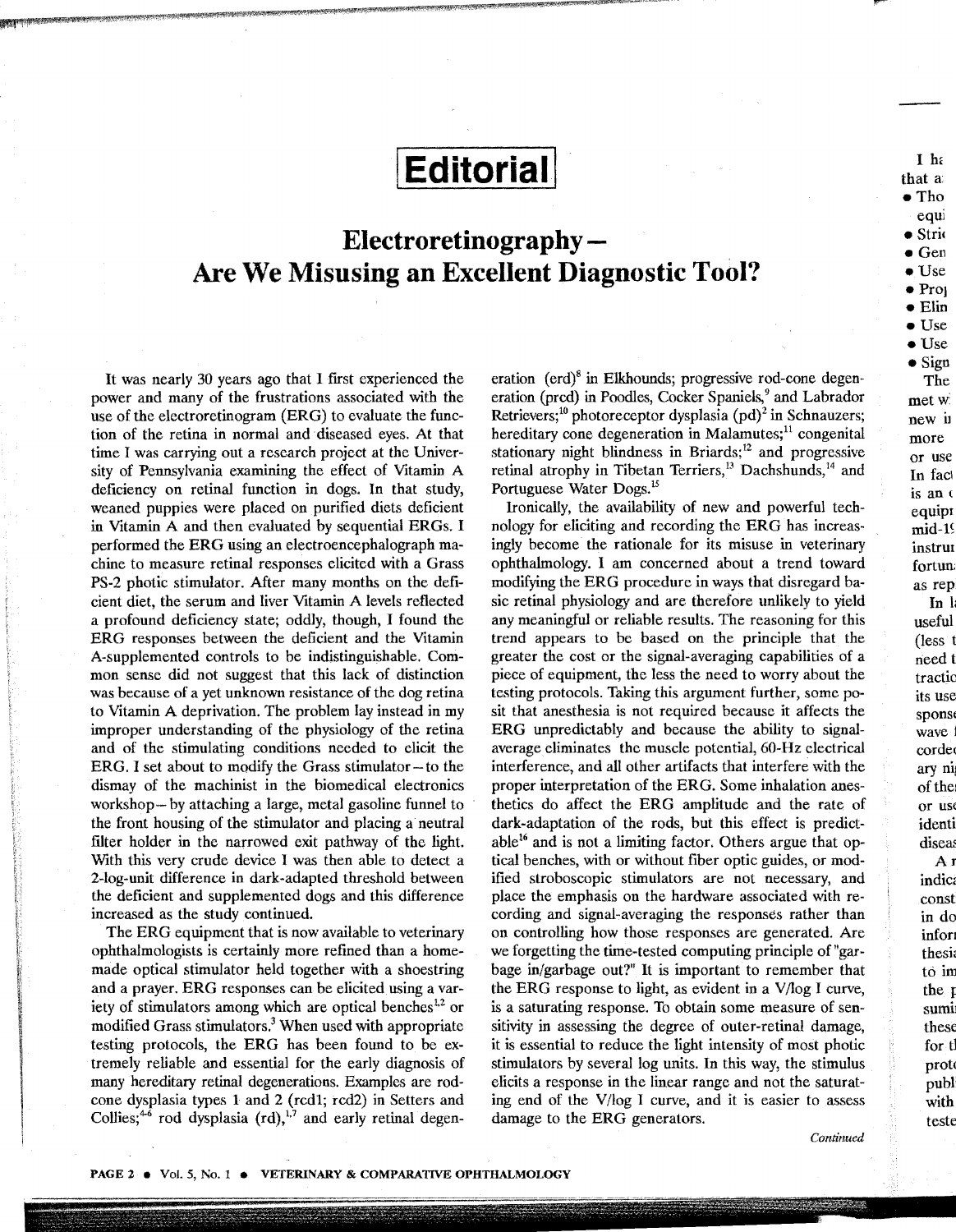# I **Editorial!**

## **Electroretinography-Are We Misusing an Excellent Diagnostic Tool?**

It was nearly 30 years ago that I first experienced the power and many of the frustrations associated with the use of the electroretinogram (ERG) to evaluate the function of the retina in normal and diseased eyes. At that time I was carrying out a research project at the University of Pennsylvania examining the effect of Vitamin A deficiency on retinal function in dogs. In that study, weaned puppies were placed on purified diets deficient in Vitamin A and then evaluated by sequential ERGs. I performed the ERG using an electroencephalograph machine to measure retinal responses elicited with a Grass PS-2 photic stimulator. After many months on the deficient diet, the serum and liver Vitamin A levels reflected a profound deficiency state; oddly, though, I found the ERG responses between the deficient and the Vitamin A-supplemented controls to be indistinguishable. Common sense did not suggest that this lack of distinction was because of a yet unknown resistance of the dog retina to Vitamin A deprivation. The problem lay instead in my improper understanding of the physiology of the retina and of the stimulating conditions needed to elicit the ERG. I set about to modify the Grass stimulator-to the dismay of the machinist in the biomedical electronics workshop- by attaching a large, metal gasoline funnel to the front housing of the stimulator and placing a neutral filter holder in the narrowed exit pathway of the light. With this very crude device I was then able to detect a 2-log-unit difference in dark-adapted threshold between the deficient and supplemented dogs and this difference increased as the study continued.

The ERG equipment that is now available to veterinary ophthalmologists is certainly more refined than a homemade optical stimulator held together with a shoestring and a prayer. ERG responses can be elicited using a variety of stimulators among which are optical benches $12$  or modified Grass stimulators? When used with appropriate testing protocols, the ERG has been found to be extremely reliable and essential for the early diagnosis of many hereditary retinal degenerations. Examples are rodcone dysplasia types 1 and 2 (rcd1; rcd2) in Setters and Collies;<sup>4-6</sup> rod dysplasia (rd),<sup>1,7</sup> and early retinal degen-

eration ( $\text{erd}$ <sup>8</sup> in Elkhounds; progressive rod-cone degeneration (prcd) in Poodles, Cocker Spaniels,<sup>9</sup> and Labrador Retrievers;<sup>10</sup> photoreceptor dysplasia  $\left(\text{pd}\right)^2$  in Schnauzers; hereditary cone degeneration in Malamutes; $11$  congenital stationary night blindness in Briards; 12 and progressive retinal atrophy in Tibetan Terriers,<sup>13</sup> Dachshunds,<sup>14</sup> and Portuguese Water Dogs.15

Ironically, the availability of new and powerful technology for eliciting and recording the ERG has increasingly become the rationale for its misuse in veterinary ophthalmology. I am concerned about a trend toward modifying the ERG procedure in ways that disregard basic retinal physiology and are therefore unlikely to yield any meaningful or reliable results. The reasoning for this trend appears to be based on the principle that the greater the cost or the signal-averaging capabilities of a piece of equipment, the less the need to worry about the testing protocols. Taking this argument further, some posit that anesthesia is not required because it affects the ERG unpredictably and because the ability to signalaverage eliminates the muscle potential, 60-Hz electrical interference, and all other artifacts that interfere with the proper interpretation of the ERG. Some inhalation anesthetics do affect the ERG amplitude and the rate of dark-adaptation of the rods, but this effect is predictable<sup>16</sup> and is not a limiting factor. Others argue that optical benches, with or without fiber optic guides, or modified stroboscopic stimulators are not necessary, and place the emphasis on the hardware associated with recording and signal-averaging the responses rather than on controlling how those responses are generated. Are we forgetting the time-tested computing principle of"garbage in/garbage out?" It is important to remember that the ERG response to light, as evident in a V/log I curve, is a saturating response. To obtain some measure of sensitivity in assessing the degree of outer-retinal damage, it is essential to reduce the light intensity of most photic stimulators by several log units. In this way, the stimulus elicits a response in the linear range and not the saturating end of the V/log I curve, and it is easier to assess damage to the ERG generators.

Continued

PAGE 2 · Vol. 5, No. 1 · VETERINARY & COMPARATIVE OPHTHALMOLOGY